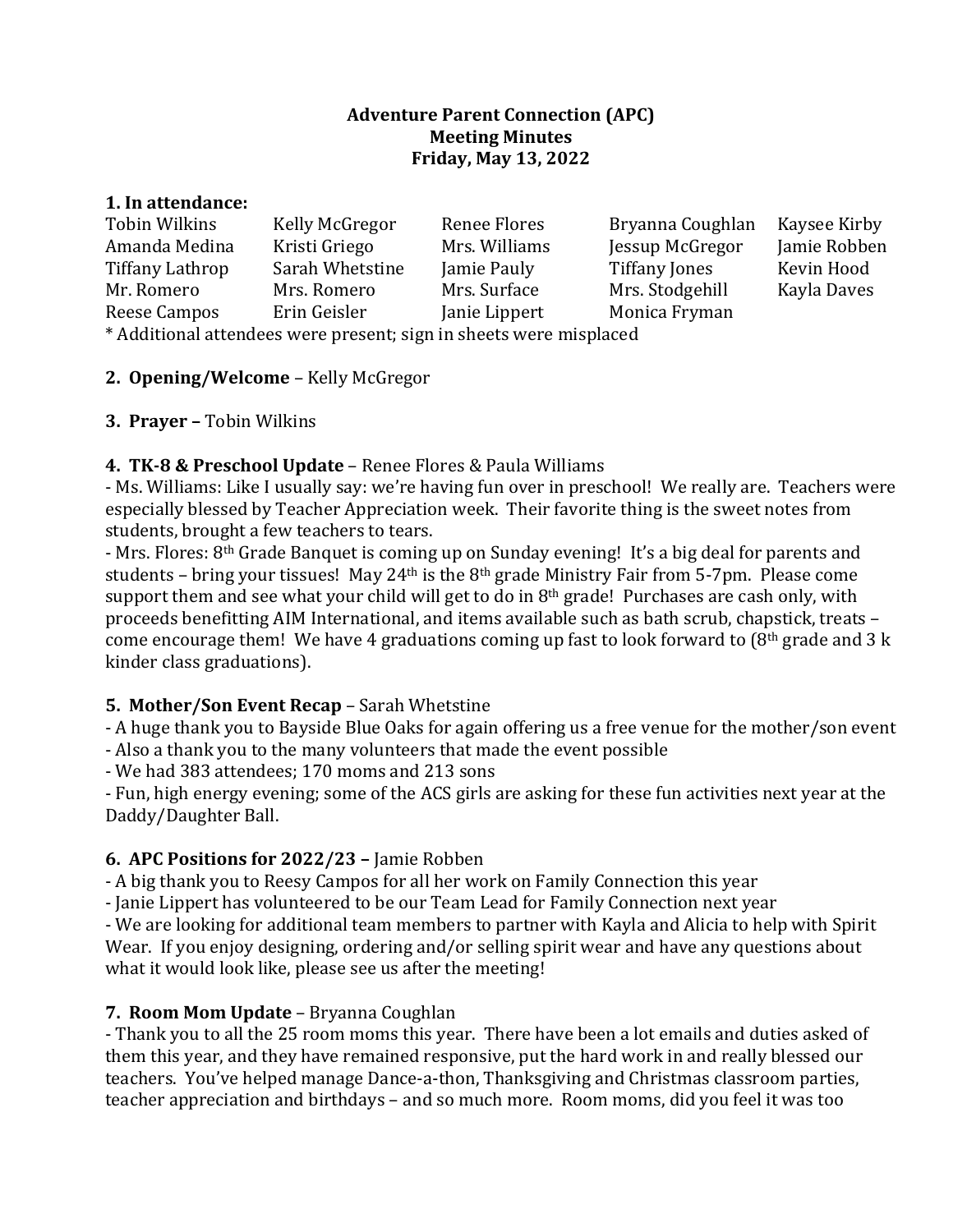### **Adventure Parent Connection (APC) Meeting Minutes Friday, May 13, 2022**

#### **1. In attendance:**

| Tobin Wilkins                                                   | Kelly McGregor  | Renee Flores  | Bryanna Coughlan | Kaysee Kirby |
|-----------------------------------------------------------------|-----------------|---------------|------------------|--------------|
| Amanda Medina                                                   | Kristi Griego   | Mrs. Williams | Jessup McGregor  | Jamie Robben |
| Tiffany Lathrop                                                 | Sarah Whetstine | Jamie Pauly   | Tiffany Jones    | Kevin Hood   |
| Mr. Romero                                                      | Mrs. Romero     | Mrs. Surface  | Mrs. Stodgehill  | Kayla Daves  |
| Reese Campos                                                    | Erin Geisler    | Janie Lippert | Monica Fryman    |              |
| $\mathbf{u}$ and $\mathbf{u}$ and $\mathbf{u}$ and $\mathbf{u}$ |                 |               |                  |              |

\* Additional attendees were present; sign in sheets were misplaced

### **2. Opening/Welcome** – Kelly McGregor

### **3. Prayer –** Tobin Wilkins

## **4. TK-8 & Preschool Update** – Renee Flores & Paula Williams

- Ms. Williams: Like I usually say: we're having fun over in preschool! We really are. Teachers were especially blessed by Teacher Appreciation week. Their favorite thing is the sweet notes from students, brought a few teachers to tears.

- Mrs. Flores: 8<sup>th</sup> Grade Banquet is coming up on Sunday evening! It's a big deal for parents and students – bring your tissues! May 24<sup>th</sup> is the  $8<sup>th</sup>$  grade Ministry Fair from 5-7pm. Please come support them and see what your child will get to do in  $8<sup>th</sup>$  grade! Purchases are cash only, with proceeds benefitting AIM International, and items available such as bath scrub, chapstick, treats come encourage them! We have 4 graduations coming up fast to look forward to (8<sup>th</sup> grade and 3 k kinder class graduations).

#### **5. Mother/Son Event Recap** – Sarah Whetstine

- A huge thank you to Bayside Blue Oaks for again offering us a free venue for the mother/son event

- Also a thank you to the many volunteers that made the event possible

- We had 383 attendees; 170 moms and 213 sons

- Fun, high energy evening; some of the ACS girls are asking for these fun activities next year at the Daddy/Daughter Ball.

#### **6. APC Positions for 2022/23 –** Jamie Robben

- A big thank you to Reesy Campos for all her work on Family Connection this year

- Janie Lippert has volunteered to be our Team Lead for Family Connection next year

- We are looking for additional team members to partner with Kayla and Alicia to help with Spirit Wear. If you enjoy designing, ordering and/or selling spirit wear and have any questions about what it would look like, please see us after the meeting!

## **7. Room Mom Update** – Bryanna Coughlan

- Thank you to all the 25 room moms this year. There have been a lot emails and duties asked of them this year, and they have remained responsive, put the hard work in and really blessed our teachers. You've helped manage Dance-a-thon, Thanksgiving and Christmas classroom parties, teacher appreciation and birthdays – and so much more. Room moms, did you feel it was too